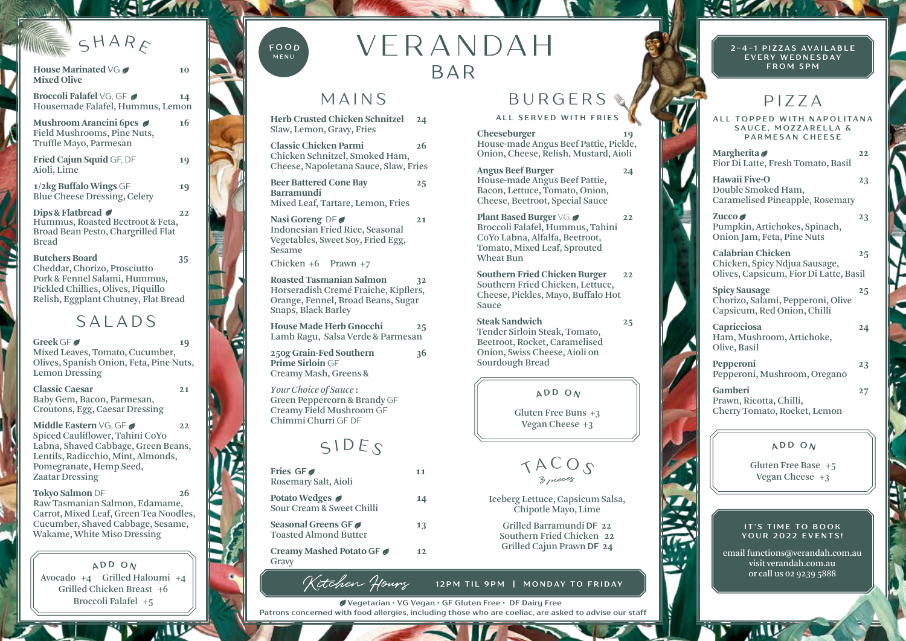# $S H A R_F$

**House Marinated VG 2** 10

**Mixed Olive Broccoli Falafel** VG, GF Housemade Falafel, Hummus, Lemon **Mushroom Arancini 6pcs** 16 Field Mushrooms, Pine Nuts, Truffle Mayo, Parmesan **Fried Cajun Squid** GF, DF **19** Aioli, Lime **1/2kg Buffalo Wings** GF **19** Blue Cheese Dressing, Celery **Dips & Flatbread 22**  Hummus, Roasted Beetroot & Feta, Broad Bean Pesto, Chargrilled Flat Bread **Butchers Board 35** 

Cheddar, Chorizo, Prosciutto Pork & Fennel Salami, Hummus, Pickled Chillies, Olives, Piquillo Relish, Eggplant Chutney, Flat Bread

SALADS

**Greek** GF **19**  Mixed Leaves, Tomato, Cucumber, Olives, Spanish Onion, Feta, Pine Nuts, Lemon Dressing

**Classic Caesar 21**  Baby Gem, Bacon, Parmesan, Croutons, Egg, Caesar Dressing

**Middle Eastern** VG, GF Spiced Cauliflower, Tahini CoYo Labna, Shaved Cabbage, Green Beans, Lentils, Radicchio, Mint, Almonds, Pomegranate, Hemp Seed, Zaatar Dressing

**Tokyo Salmon** DF **26**  Raw Tasmanian Salmon, Edamame, Carrot, Mixed Leaf, Green Tea Noodles, Cucumber, Shaved Cabbage, Sesame, Wakame, White Miso Dressing

Avocado +4 Grilled Haloumi +4 Grilled Chicken Breast +6 Broccoli Falafel +5  $AD$  **D**  $O$   $N$ 

**AND** 



VERANDAH BAR

## MAINS

**Herb Crusted Chicken Schnitzel 24**  Slaw, Lemon, Gravy, Fries

**Classic Chicken Parmi 26**  Chicken Schnitzel, Smoked Ham, Cheese, Napoletana Sauce, Slaw, Fries

**Beer Battered Cone Bay 25 Barramundi** Mixed Leaf, Tartare, Lemon, Fries

Nasi Goreng DF Indonesian Fried Rice, Seasonal Vegetables, Sweet Soy, Fried Egg, Sesame

Chicken +6 Prawn +7

**Roasted Tasmanian Salmon 32** Horseradish Cremé Fraiche, Kipflers, Orange, Fennel, Broad Beans, Sugar Snaps, Black Barley

**House Made Herb Gnocchi 25** Lamb Ragu, Salsa Verde & Parmesan

**250g Grain-Fed Southern 36 Prime Sirloin** GF Creamy Mash, Greens &

*Your Choice of Sauce* **:**  Green Peppercorn & Brandy GF Creamy Field Mushroom GF Chimmi Churri GF DF

# $SIDES$

| Fries GF<br>Rosemary Salt, Aioli                    | 11 |
|-----------------------------------------------------|----|
| Potato Wedges <i>●</i><br>Sour Cream & Sweet Chilli | 14 |
| Seasonal Greens GF<br><b>Toasted Almond Butter</b>  | 13 |
| Creamy Mashed Potato GF<br>Gravy                    | 12 |

Kitchen Howry

BURGERS **ALL SERVED WITH FRIES**

**Cheeseburger** House-made Angus Beef Pattie, Pickle, Onion, Cheese, Relish, Mustard, Aioli

**Angus Beef Burger 24** House-made Angus Beef Pattie, Bacon, Lettuce, Tomato, Onion, Cheese, Beetroot, Special Sauce

**Plant Based Burger**  $\sqrt{G}$  **22 22** Broccoli Falafel, Hummus, Tahini CoYo Labna, Alfalfa, Beetroot, Tomato, Mixed Leaf, Sprouted Wheat Bun

**Southern Fried Chicken Burger 22**  Southern Fried Chicken, Lettuce, Cheese, Pickles, Mayo, Buffalo Hot Sauce

**Steak Sandwich 25**  Tender Sirloin Steak, Tomato, Beetroot, Rocket, Caramelised Onion, Swiss Cheese, Aioli on Sourdough Bread

#### $ADD$   $O_N$

Gluten Free Buns +3 Vegan Cheese +3

 $TACOS$ 

Iceberg Lettuce, Capsicum Salsa, Chipotle Mayo, Lime

Grilled Barramundi **DF 22** Southern Fried Chicken **22** Grilled Cajun Prawn **DF 24**

**12PM TIL 9PM | MONDAY TO FRIDAY**

**Vegetarian • VG Vegan • GF Gluten Free • DF Dairy Free Patrons concerned with food allergies, including those who are coeliac, are asked to advise our staff** **2 - 4 - 1 P I Z Z A S AV A I L A B L E EVERY WEDNESDAY FROM 5PM**

# PIZZA

**ALL TOPPED WITH NAPOLITANA SAUCE, MOZZARELLA & PARMESAN CHEESE** 

**Margherita** Fior Di Latte, Fresh Tomato, Basil

**Hawaii Five-O 23** Double Smoked Ham, Caramelised Pineapple, Rosemary

Zucco 23 Pumpkin, Artichokes, Spinach, Onion Jam, Feta, Pine Nuts

**Calabrian Chicken 25** Chicken, Spicy Ndjua Sausage, Olives, Capsicum, Fior Di Latte, Basil

**Spicy Sausage 25** Chorizo, Salami, Pepperoni, Olive Capsicum, Red Onion, Chilli

**Capricciosa 24** Ham, Mushroom, Artichoke, Olive, Basil

**Pepperoni 23** Pepperoni, Mushroom, Oregano

**Gamberi 27** Prawn, Ricotta, Chilli, Cherry Tomato, Rocket, Lemon

### $AD$  **D**  $ON$

Gluten Free Base +5 Vegan Cheese +3

#### **IT'S TIME TO BOOK YOUR 2022 EVENTS!**

email functions@verandah.com.au visit verandah.com.au or call us 02 9239 5888